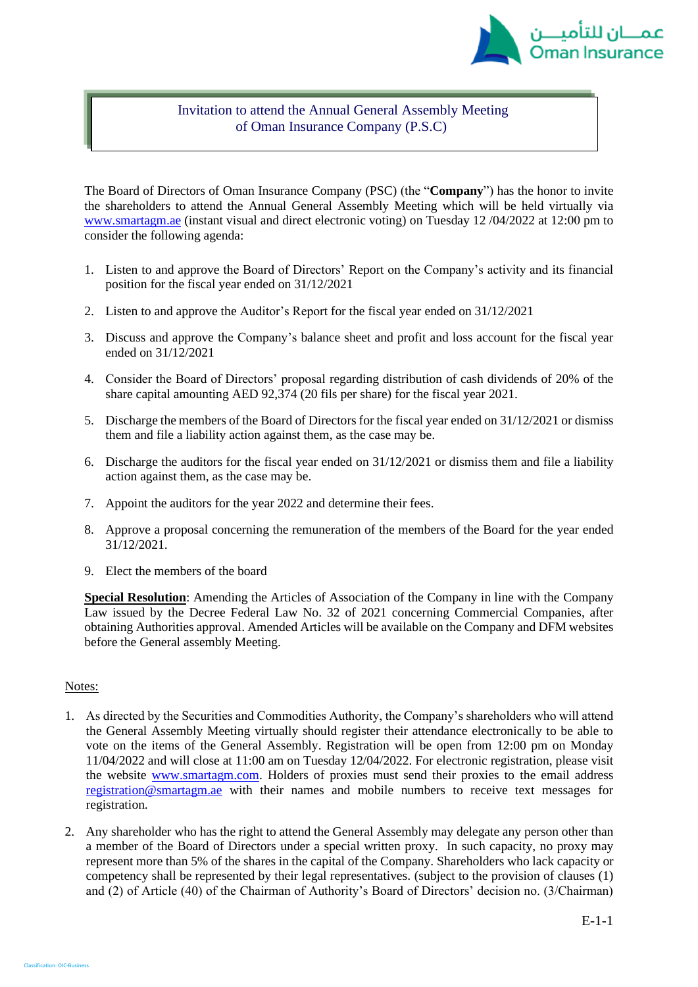

## Invitation to attend the Annual General Assembly Meeting of Oman Insurance Company (P.S.C)

The Board of Directors of Oman Insurance Company (PSC) (the "**Company**") has the honor to invite the shareholders to attend the Annual General Assembly Meeting which will be held virtually via [www.smartagm.ae](http://www.smartagm.ae/) (instant visual and direct electronic voting) on Tuesday 12 /04/2022 at 12:00 pm to consider the following agenda:

- 1. Listen to and approve the Board of Directors' Report on the Company's activity and its financial position for the fiscal year ended on 31/12/2021
- 2. Listen to and approve the Auditor's Report for the fiscal year ended on 31/12/2021
- 3. Discuss and approve the Company's balance sheet and profit and loss account for the fiscal year ended on 31/12/2021
- 4. Consider the Board of Directors' proposal regarding distribution of cash dividends of 20% of the share capital amounting AED 92,374 (20 fils per share) for the fiscal year 2021.
- 5. Discharge the members of the Board of Directors for the fiscal year ended on 31/12/2021 or dismiss them and file a liability action against them, as the case may be.
- 6. Discharge the auditors for the fiscal year ended on 31/12/2021 or dismiss them and file a liability action against them, as the case may be.
- 7. Appoint the auditors for the year 2022 and determine their fees.
- 8. Approve a proposal concerning the remuneration of the members of the Board for the year ended 31/12/2021.
- 9. Elect the members of the board

**Special Resolution**: Amending the Articles of Association of the Company in line with the Company Law issued by the Decree Federal Law No. 32 of 2021 concerning Commercial Companies, after obtaining Authorities approval. Amended Articles will be available on the Company and DFM websites before the General assembly Meeting.

## Notes:

Classification: OIC-Busines

- 1. As directed by the Securities and Commodities Authority, the Company's shareholders who will attend the General Assembly Meeting virtually should register their attendance electronically to be able to vote on the items of the General Assembly. Registration will be open from 12:00 pm on Monday 11/04/2022 and will close at 11:00 am on Tuesday 12/04/2022. For electronic registration, please visit the website [www.smartagm.com.](http://www.smartagm.com/) Holders of proxies must send their proxies to the email address [registration@smartagm.ae](mailto:registration@smartagm.ae) with their names and mobile numbers to receive text messages for registration.
- 2. Any shareholder who has the right to attend the General Assembly may delegate any person other than a member of the Board of Directors under a special written proxy. In such capacity, no proxy may represent more than 5% of the shares in the capital of the Company. Shareholders who lack capacity or competency shall be represented by their legal representatives. (subject to the provision of clauses (1) and (2) of Article (40) of the Chairman of Authority's Board of Directors' decision no. (3/Chairman)